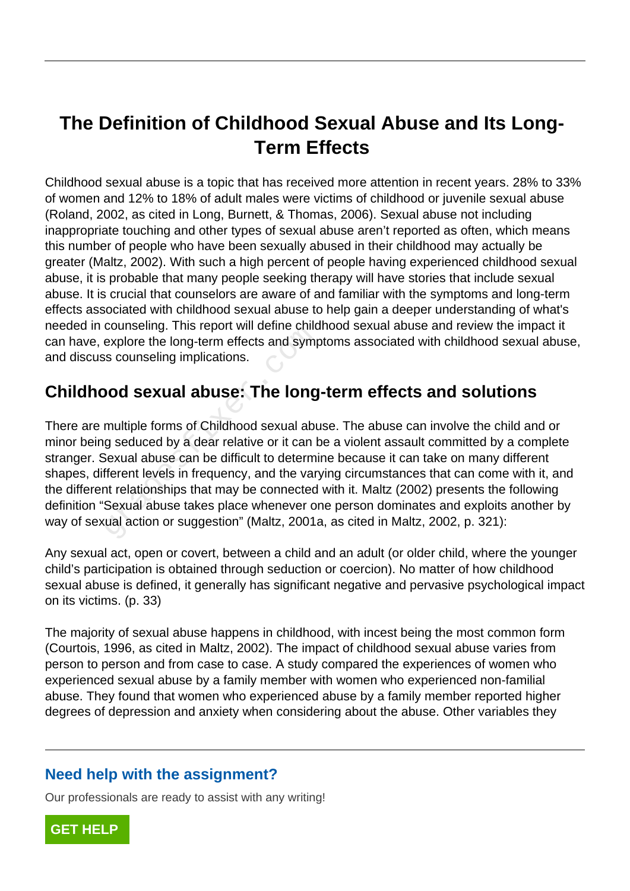# **The Definition of Childhood Sexual Abuse and Its Long-Term Effects**

Childhood sexual abuse is a topic that has received more attention in recent years. 28% to 33% of women and 12% to 18% of adult males were victims of childhood or juvenile sexual abuse (Roland, 2002, as cited in Long, Burnett, & Thomas, 2006). Sexual abuse not including inappropriate touching and other types of sexual abuse aren't reported as often, which means this number of people who have been sexually abused in their childhood may actually be greater (Maltz, 2002). With such a high percent of people having experienced childhood sexual abuse, it is probable that many people seeking therapy will have stories that include sexual abuse. It is crucial that counselors are aware of and familiar with the symptoms and long-term effects associated with childhood sexual abuse to help gain a deeper understanding of what's needed in counseling. This report will define childhood sexual abuse and review the impact it can have, explore the long-term effects and symptoms associated with childhood sexual abuse, and discuss counseling implications.

## **Childhood sexual abuse: The long-term effects and solutions**

There are multiple forms of Childhood sexual abuse. The abuse can involve the child and or minor being seduced by a dear relative or it can be a violent assault committed by a complete stranger. Sexual abuse can be difficult to determine because it can take on many different shapes, different levels in frequency, and the varying circumstances that can come with it, and the different relationships that may be connected with it. Maltz (2002) presents the following definition "Sexual abuse takes place whenever one person dominates and exploits another by way of sexual action or suggestion" (Maltz, 2001a, as cited in Maltz, 2002, p. 321): couriseing. This report will define critic<br>explore the long-term effects and sympter<br>socionseling implications.<br>**Dod Sexual abuse: The long**<br>multiple forms of Childhood sexual abug seduced by a dear relative or it can be<br>s

Any sexual act, open or covert, between a child and an adult (or older child, where the younger child's participation is obtained through seduction or coercion). No matter of how childhood sexual abuse is defined, it generally has significant negative and pervasive psychological impact on its victims. (p. 33)

The majority of sexual abuse happens in childhood, with incest being the most common form (Courtois, 1996, as cited in Maltz, 2002). The impact of childhood sexual abuse varies from person to person and from case to case. A study compared the experiences of women who experienced sexual abuse by a family member with women who experienced non-familial abuse. They found that women who experienced abuse by a family member reported higher degrees of depression and anxiety when considering about the abuse. Other variables they

### **Need help with the assignment?**

Our professionals are ready to assist with any writing!

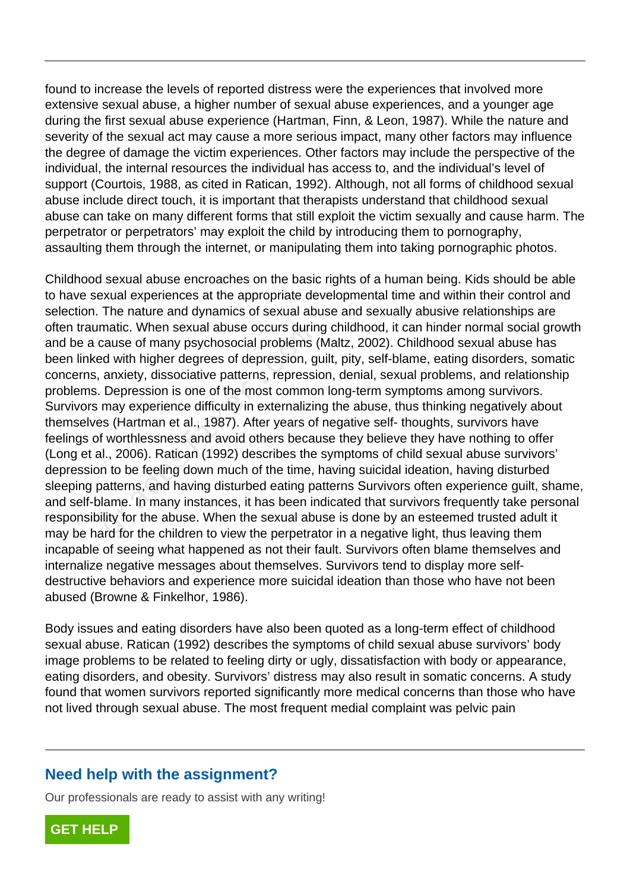found to increase the levels of reported distress were the experiences that involved more extensive sexual abuse, a higher number of sexual abuse experiences, and a younger age during the first sexual abuse experience (Hartman, Finn, & Leon, 1987). While the nature and severity of the sexual act may cause a more serious impact, many other factors may influence the degree of damage the victim experiences. Other factors may include the perspective of the individual, the internal resources the individual has access to, and the individual's level of support (Courtois, 1988, as cited in Ratican, 1992). Although, not all forms of childhood sexual abuse include direct touch, it is important that therapists understand that childhood sexual abuse can take on many different forms that still exploit the victim sexually and cause harm. The perpetrator or perpetrators' may exploit the child by introducing them to pornography, assaulting them through the internet, or manipulating them into taking pornographic photos.

Childhood sexual abuse encroaches on the basic rights of a human being. Kids should be able to have sexual experiences at the appropriate developmental time and within their control and selection. The nature and dynamics of sexual abuse and sexually abusive relationships are often traumatic. When sexual abuse occurs during childhood, it can hinder normal social growth and be a cause of many psychosocial problems (Maltz, 2002). Childhood sexual abuse has been linked with higher degrees of depression, guilt, pity, self-blame, eating disorders, somatic concerns, anxiety, dissociative patterns, repression, denial, sexual problems, and relationship problems. Depression is one of the most common long-term symptoms among survivors. Survivors may experience difficulty in externalizing the abuse, thus thinking negatively about themselves (Hartman et al., 1987). After years of negative self- thoughts, survivors have feelings of worthlessness and avoid others because they believe they have nothing to offer (Long et al., 2006). Ratican (1992) describes the symptoms of child sexual abuse survivors' depression to be feeling down much of the time, having suicidal ideation, having disturbed sleeping patterns, and having disturbed eating patterns Survivors often experience guilt, shame, and self-blame. In many instances, it has been indicated that survivors frequently take personal responsibility for the abuse. When the sexual abuse is done by an esteemed trusted adult it may be hard for the children to view the perpetrator in a negative light, thus leaving them incapable of seeing what happened as not their fault. Survivors often blame themselves and internalize negative messages about themselves. Survivors tend to display more selfdestructive behaviors and experience more suicidal ideation than those who have not been abused (Browne & Finkelhor, 1986). ratic. When sexual abuse occurs durint<br>ause of many psychosocial problems (<br>d with higher degrees of depression, g<br>anxiety, dissociative patterns, repressii<br>Depression is one of the most common<br>may experience difficulty in

Body issues and eating disorders have also been quoted as a long-term effect of childhood sexual abuse. Ratican (1992) describes the symptoms of child sexual abuse survivors' body image problems to be related to feeling dirty or ugly, dissatisfaction with body or appearance, eating disorders, and obesity. Survivors' distress may also result in somatic concerns. A study found that women survivors reported significantly more medical concerns than those who have not lived through sexual abuse. The most frequent medial complaint was pelvic pain

#### **Need help with the assignment?**

Our professionals are ready to assist with any writing!

**[GET HELP](https://my.gradesfixer.com/order?utm_campaign=pdf_sample)**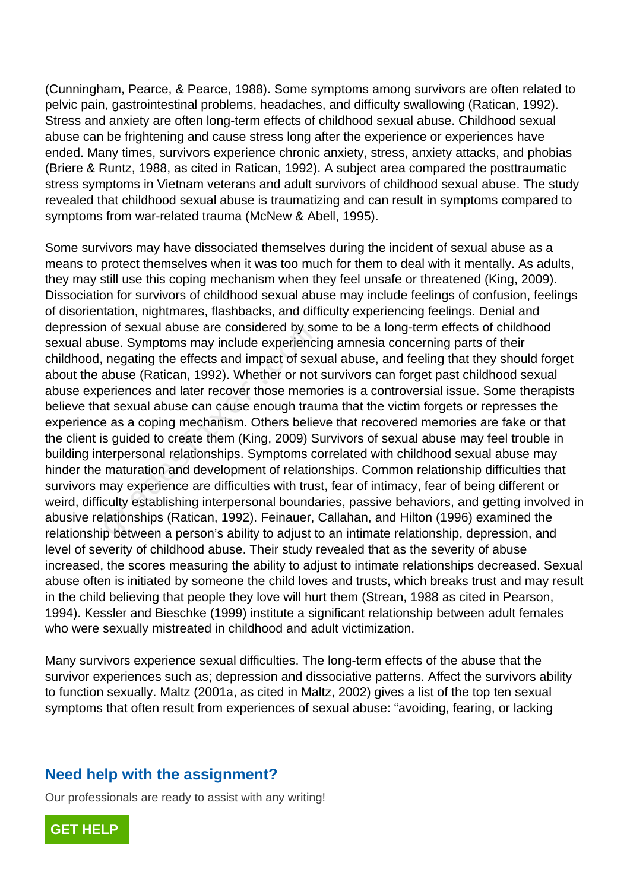(Cunningham, Pearce, & Pearce, 1988). Some symptoms among survivors are often related to pelvic pain, gastrointestinal problems, headaches, and difficulty swallowing (Ratican, 1992). Stress and anxiety are often long-term effects of childhood sexual abuse. Childhood sexual abuse can be frightening and cause stress long after the experience or experiences have ended. Many times, survivors experience chronic anxiety, stress, anxiety attacks, and phobias (Briere & Runtz, 1988, as cited in Ratican, 1992). A subject area compared the posttraumatic stress symptoms in Vietnam veterans and adult survivors of childhood sexual abuse. The study revealed that childhood sexual abuse is traumatizing and can result in symptoms compared to symptoms from war-related trauma (McNew & Abell, 1995).

Some survivors may have dissociated themselves during the incident of sexual abuse as a means to protect themselves when it was too much for them to deal with it mentally. As adults, they may still use this coping mechanism when they feel unsafe or threatened (King, 2009). Dissociation for survivors of childhood sexual abuse may include feelings of confusion, feelings of disorientation, nightmares, flashbacks, and difficulty experiencing feelings. Denial and depression of sexual abuse are considered by some to be a long-term effects of childhood sexual abuse. Symptoms may include experiencing amnesia concerning parts of their childhood, negating the effects and impact of sexual abuse, and feeling that they should forget about the abuse (Ratican, 1992). Whether or not survivors can forget past childhood sexual abuse experiences and later recover those memories is a controversial issue. Some therapists believe that sexual abuse can cause enough trauma that the victim forgets or represses the experience as a coping mechanism. Others believe that recovered memories are fake or that the client is guided to create them (King, 2009) Survivors of sexual abuse may feel trouble in building interpersonal relationships. Symptoms correlated with childhood sexual abuse may hinder the maturation and development of relationships. Common relationship difficulties that survivors may experience are difficulties with trust, fear of intimacy, fear of being different or weird, difficulty establishing interpersonal boundaries, passive behaviors, and getting involved in abusive relationships (Ratican, 1992). Feinauer, Callahan, and Hilton (1996) examined the relationship between a person's ability to adjust to an intimate relationship, depression, and level of severity of childhood abuse. Their study revealed that as the severity of abuse increased, the scores measuring the ability to adjust to intimate relationships decreased. Sexual abuse often is initiated by someone the child loves and trusts, which breaks trust and may result in the child believing that people they love will hurt them (Strean, 1988 as cited in Pearson, 1994). Kessler and Bieschke (1999) institute a significant relationship between adult females who were sexually mistreated in childhood and adult victimization. Tor sexual abuse are considered by solution.<br>
Symptoms may include experienci<br>
negating the effects and impact of sex<br>
abuse (Ratican, 1992). Whether or not<br>
eriences and later recover those memoral<br>
at sexual abuse can ca

Many survivors experience sexual difficulties. The long-term effects of the abuse that the survivor experiences such as; depression and dissociative patterns. Affect the survivors ability to function sexually. Maltz (2001a, as cited in Maltz, 2002) gives a list of the top ten sexual symptoms that often result from experiences of sexual abuse: "avoiding, fearing, or lacking

### **Need help with the assignment?**

Our professionals are ready to assist with any writing!

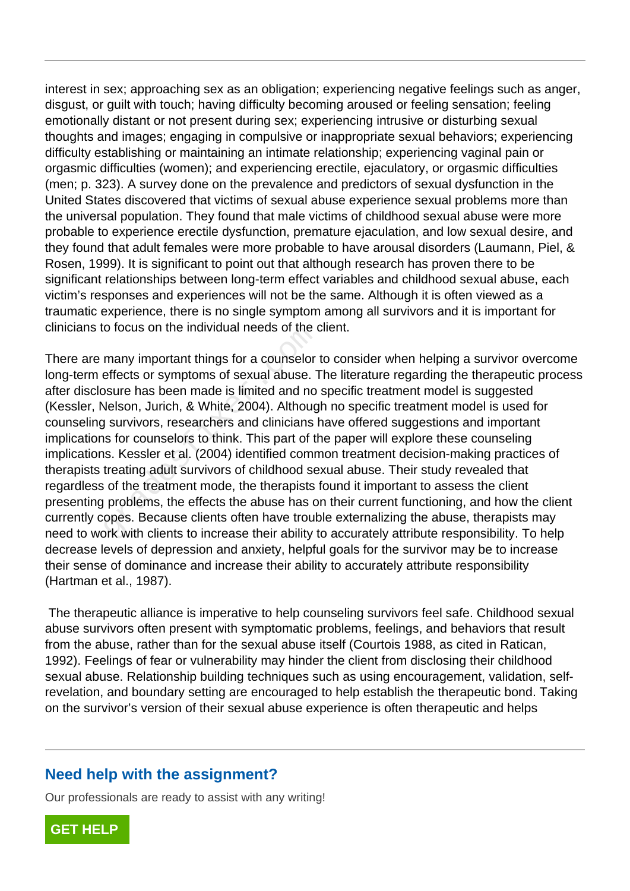interest in sex; approaching sex as an obligation; experiencing negative feelings such as anger, disgust, or guilt with touch; having difficulty becoming aroused or feeling sensation; feeling emotionally distant or not present during sex; experiencing intrusive or disturbing sexual thoughts and images; engaging in compulsive or inappropriate sexual behaviors; experiencing difficulty establishing or maintaining an intimate relationship; experiencing vaginal pain or orgasmic difficulties (women); and experiencing erectile, ejaculatory, or orgasmic difficulties (men; p. 323). A survey done on the prevalence and predictors of sexual dysfunction in the United States discovered that victims of sexual abuse experience sexual problems more than the universal population. They found that male victims of childhood sexual abuse were more probable to experience erectile dysfunction, premature ejaculation, and low sexual desire, and they found that adult females were more probable to have arousal disorders (Laumann, Piel, & Rosen, 1999). It is significant to point out that although research has proven there to be significant relationships between long-term effect variables and childhood sexual abuse, each victim's responses and experiences will not be the same. Although it is often viewed as a traumatic experience, there is no single symptom among all survivors and it is important for clinicians to focus on the individual needs of the client.

There are many important things for a counselor to consider when helping a survivor overcome long-term effects or symptoms of sexual abuse. The literature regarding the therapeutic process after disclosure has been made is limited and no specific treatment model is suggested (Kessler, Nelson, Jurich, & White, 2004). Although no specific treatment model is used for counseling survivors, researchers and clinicians have offered suggestions and important implications for counselors to think. This part of the paper will explore these counseling implications. Kessler et al. (2004) identified common treatment decision-making practices of therapists treating adult survivors of childhood sexual abuse. Their study revealed that regardless of the treatment mode, the therapists found it important to assess the client presenting problems, the effects the abuse has on their current functioning, and how the client currently copes. Because clients often have trouble externalizing the abuse, therapists may need to work with clients to increase their ability to accurately attribute responsibility. To help decrease levels of depression and anxiety, helpful goals for the survivor may be to increase their sense of dominance and increase their ability to accurately attribute responsibility (Hartman et al., 1987). o locus on the individual needs of the company important things for a counselor<br>effects or symptoms of sexual abuse. T<br>bsure has been made is limited and no<br>delson, Jurich, & White, 2004). Althoug<br>j survivors, researchers

 The therapeutic alliance is imperative to help counseling survivors feel safe. Childhood sexual abuse survivors often present with symptomatic problems, feelings, and behaviors that result from the abuse, rather than for the sexual abuse itself (Courtois 1988, as cited in Ratican, 1992). Feelings of fear or vulnerability may hinder the client from disclosing their childhood sexual abuse. Relationship building techniques such as using encouragement, validation, selfrevelation, and boundary setting are encouraged to help establish the therapeutic bond. Taking on the survivor's version of their sexual abuse experience is often therapeutic and helps

### **Need help with the assignment?**

Our professionals are ready to assist with any writing!

**[GET HELP](https://my.gradesfixer.com/order?utm_campaign=pdf_sample)**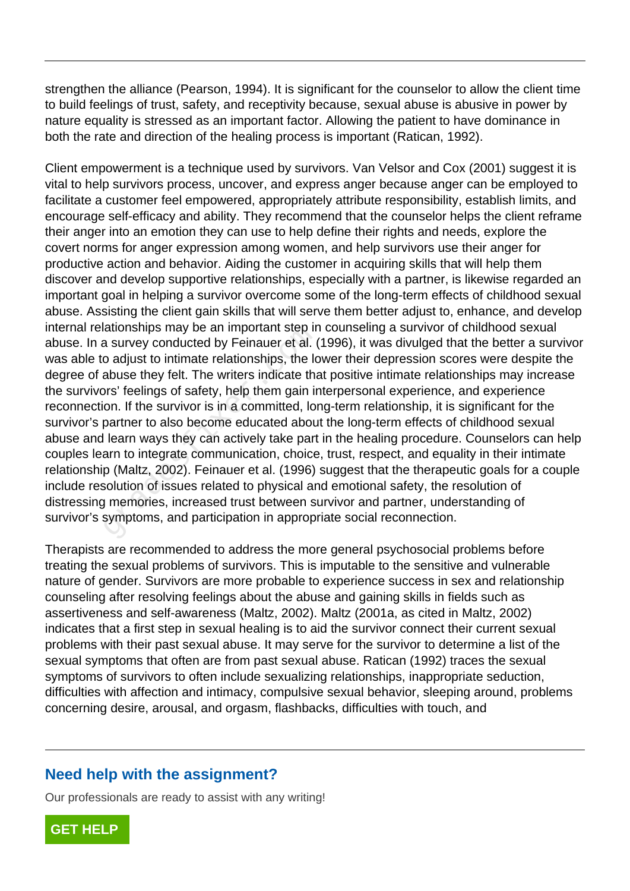strengthen the alliance (Pearson, 1994). It is significant for the counselor to allow the client time to build feelings of trust, safety, and receptivity because, sexual abuse is abusive in power by nature equality is stressed as an important factor. Allowing the patient to have dominance in both the rate and direction of the healing process is important (Ratican, 1992).

Client empowerment is a technique used by survivors. Van Velsor and Cox (2001) suggest it is vital to help survivors process, uncover, and express anger because anger can be employed to facilitate a customer feel empowered, appropriately attribute responsibility, establish limits, and encourage self-efficacy and ability. They recommend that the counselor helps the client reframe their anger into an emotion they can use to help define their rights and needs, explore the covert norms for anger expression among women, and help survivors use their anger for productive action and behavior. Aiding the customer in acquiring skills that will help them discover and develop supportive relationships, especially with a partner, is likewise regarded an important goal in helping a survivor overcome some of the long-term effects of childhood sexual abuse. Assisting the client gain skills that will serve them better adjust to, enhance, and develop internal relationships may be an important step in counseling a survivor of childhood sexual abuse. In a survey conducted by Feinauer et al. (1996), it was divulged that the better a survivor was able to adjust to intimate relationships, the lower their depression scores were despite the degree of abuse they felt. The writers indicate that positive intimate relationships may increase the survivors' feelings of safety, help them gain interpersonal experience, and experience reconnection. If the survivor is in a committed, long-term relationship, it is significant for the survivor's partner to also become educated about the long-term effects of childhood sexual abuse and learn ways they can actively take part in the healing procedure. Counselors can help couples learn to integrate communication, choice, trust, respect, and equality in their intimate relationship (Maltz, 2002). Feinauer et al. (1996) suggest that the therapeutic goals for a couple include resolution of issues related to physical and emotional safety, the resolution of distressing memories, increased trust between survivor and partner, understanding of survivor's symptoms, and participation in appropriate social reconnection. allonships may be an important step in<br>a survey conducted by Feinauer et al. (<br>o adjust to intimate relationships, the Ic<br>abuse they felt. The writers indicate than<br>ors' feelings of safety, help them gain ir<br>on. If the sur

Therapists are recommended to address the more general psychosocial problems before treating the sexual problems of survivors. This is imputable to the sensitive and vulnerable nature of gender. Survivors are more probable to experience success in sex and relationship counseling after resolving feelings about the abuse and gaining skills in fields such as assertiveness and self-awareness (Maltz, 2002). Maltz (2001a, as cited in Maltz, 2002) indicates that a first step in sexual healing is to aid the survivor connect their current sexual problems with their past sexual abuse. It may serve for the survivor to determine a list of the sexual symptoms that often are from past sexual abuse. Ratican (1992) traces the sexual symptoms of survivors to often include sexualizing relationships, inappropriate seduction, difficulties with affection and intimacy, compulsive sexual behavior, sleeping around, problems concerning desire, arousal, and orgasm, flashbacks, difficulties with touch, and

### **Need help with the assignment?**

Our professionals are ready to assist with any writing!

**[GET HELP](https://my.gradesfixer.com/order?utm_campaign=pdf_sample)**